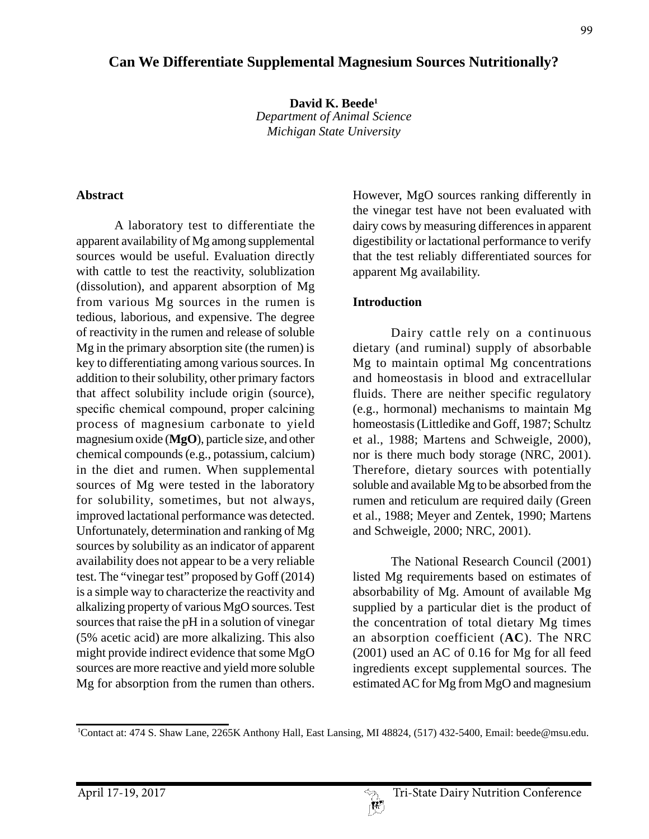## **Can We Differentiate Supplemental Magnesium Sources Nutritionally?**

**David K. Beede1** *Department of Animal Science Michigan State University*

### **Abstract**

A laboratory test to differentiate the apparent availability of Mg among supplemental sources would be useful. Evaluation directly with cattle to test the reactivity, solublization (dissolution), and apparent absorption of Mg from various Mg sources in the rumen is tedious, laborious, and expensive. The degree of reactivity in the rumen and release of soluble Mg in the primary absorption site (the rumen) is key to differentiating among various sources. In addition to their solubility, other primary factors that affect solubility include origin (source), specific chemical compound, proper calcining process of magnesium carbonate to yield magnesium oxide (**MgO**), particle size, and other chemical compounds (e.g., potassium, calcium) in the diet and rumen. When supplemental sources of Mg were tested in the laboratory for solubility, sometimes, but not always, improved lactational performance was detected. Unfortunately, determination and ranking of Mg sources by solubility as an indicator of apparent availability does not appear to be a very reliable test. The "vinegar test" proposed by Goff (2014) is a simple way to characterize the reactivity and alkalizing property of various MgO sources. Test sources that raise the pH in a solution of vinegar (5% acetic acid) are more alkalizing. This also might provide indirect evidence that some MgO sources are more reactive and yield more soluble Mg for absorption from the rumen than others.

However, MgO sources ranking differently in the vinegar test have not been evaluated with dairy cows by measuring differences in apparent digestibility or lactational performance to verify that the test reliably differentiated sources for apparent Mg availability.

#### **Introduction**

Dairy cattle rely on a continuous dietary (and ruminal) supply of absorbable Mg to maintain optimal Mg concentrations and homeostasis in blood and extracellular fluids. There are neither specific regulatory (e.g., hormonal) mechanisms to maintain Mg homeostasis (Littledike and Goff, 1987; Schultz et al., 1988; Martens and Schweigle, 2000), nor is there much body storage (NRC, 2001). Therefore, dietary sources with potentially soluble and available Mg to be absorbed from the rumen and reticulum are required daily (Green et al., 1988; Meyer and Zentek, 1990; Martens and Schweigle, 2000; NRC, 2001).

The National Research Council (2001) listed Mg requirements based on estimates of absorbability of Mg. Amount of available Mg supplied by a particular diet is the product of the concentration of total dietary Mg times an absorption coefficient (**AC**). The NRC (2001) used an AC of 0.16 for Mg for all feed ingredients except supplemental sources. The estimated AC for Mg from MgO and magnesium

<sup>1</sup> Contact at: 474 S. Shaw Lane, 2265K Anthony Hall, East Lansing, MI 48824, (517) 432-5400, Email: beede@msu.edu.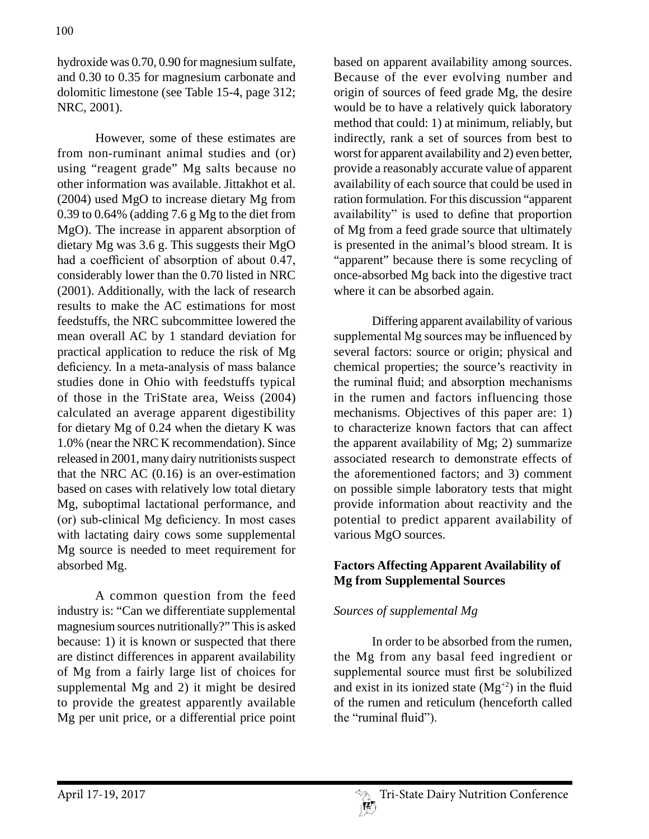hydroxide was 0.70, 0.90 for magnesium sulfate, and 0.30 to 0.35 for magnesium carbonate and dolomitic limestone (see Table 15-4, page 312; NRC, 2001).

However, some of these estimates are from non-ruminant animal studies and (or) using "reagent grade" Mg salts because no other information was available. Jittakhot et al. (2004) used MgO to increase dietary Mg from 0.39 to 0.64% (adding 7.6 g Mg to the diet from MgO). The increase in apparent absorption of dietary Mg was 3.6 g. This suggests their MgO had a coefficient of absorption of about 0.47, considerably lower than the 0.70 listed in NRC (2001). Additionally, with the lack of research results to make the AC estimations for most feedstuffs, the NRC subcommittee lowered the mean overall AC by 1 standard deviation for practical application to reduce the risk of Mg deficiency. In a meta-analysis of mass balance studies done in Ohio with feedstuffs typical of those in the TriState area, Weiss (2004) calculated an average apparent digestibility for dietary Mg of 0.24 when the dietary K was 1.0% (near the NRC K recommendation). Since released in 2001, many dairy nutritionists suspect that the NRC AC (0.16) is an over-estimation based on cases with relatively low total dietary Mg, suboptimal lactational performance, and (or) sub-clinical Mg deficiency. In most cases with lactating dairy cows some supplemental Mg source is needed to meet requirement for absorbed Mg.

A common question from the feed industry is: "Can we differentiate supplemental magnesium sources nutritionally?" This is asked because: 1) it is known or suspected that there are distinct differences in apparent availability of Mg from a fairly large list of choices for supplemental Mg and 2) it might be desired to provide the greatest apparently available Mg per unit price, or a differential price point

based on apparent availability among sources. Because of the ever evolving number and origin of sources of feed grade Mg, the desire would be to have a relatively quick laboratory method that could: 1) at minimum, reliably, but indirectly, rank a set of sources from best to worst for apparent availability and 2) even better, provide a reasonably accurate value of apparent availability of each source that could be used in ration formulation. For this discussion "apparent availability" is used to define that proportion of Mg from a feed grade source that ultimately is presented in the animal's blood stream. It is "apparent" because there is some recycling of once-absorbed Mg back into the digestive tract where it can be absorbed again.

Differing apparent availability of various supplemental Mg sources may be influenced by several factors: source or origin; physical and chemical properties; the source's reactivity in the ruminal fluid; and absorption mechanisms in the rumen and factors influencing those mechanisms. Objectives of this paper are: 1) to characterize known factors that can affect the apparent availability of Mg; 2) summarize associated research to demonstrate effects of the aforementioned factors; and 3) comment on possible simple laboratory tests that might provide information about reactivity and the potential to predict apparent availability of various MgO sources.

## **Factors Affecting Apparent Availability of Mg from Supplemental Sources**

# *Sources of supplemental Mg*

In order to be absorbed from the rumen, the Mg from any basal feed ingredient or supplemental source must first be solubilized and exist in its ionized state  $(Mg<sup>+2</sup>)$  in the fluid of the rumen and reticulum (henceforth called the "ruminal fluid").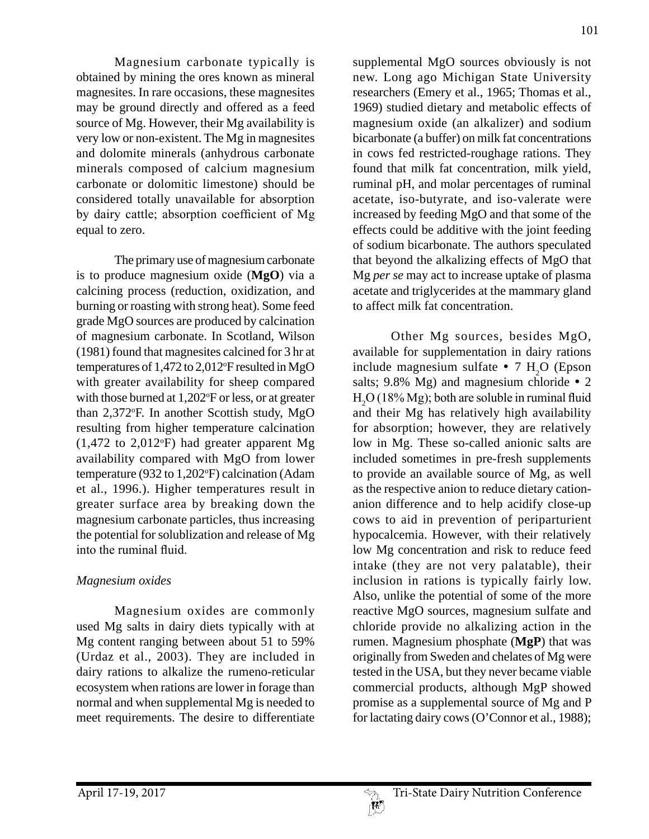Magnesium carbonate typically is obtained by mining the ores known as mineral magnesites. In rare occasions, these magnesites may be ground directly and offered as a feed source of Mg. However, their Mg availability is very low or non-existent. The Mg in magnesites and dolomite minerals (anhydrous carbonate minerals composed of calcium magnesium carbonate or dolomitic limestone) should be considered totally unavailable for absorption by dairy cattle; absorption coefficient of Mg equal to zero.

The primary use of magnesium carbonate is to produce magnesium oxide (**MgO**) via a calcining process (reduction, oxidization, and burning or roasting with strong heat). Some feed grade MgO sources are produced by calcination of magnesium carbonate. In Scotland, Wilson (1981) found that magnesites calcined for 3 hr at temperatures of  $1,472$  to  $2,012$ <sup>o</sup>F resulted in MgO with greater availability for sheep compared with those burned at 1,202°F or less, or at greater than 2,372°F. In another Scottish study, MgO resulting from higher temperature calcination  $(1,472 \text{ to } 2,012 \text{°F})$  had greater apparent Mg availability compared with MgO from lower temperature (932 to 1,202°F) calcination (Adam et al., 1996.). Higher temperatures result in greater surface area by breaking down the magnesium carbonate particles, thus increasing the potential for solublization and release of Mg into the ruminal fluid.

### *Magnesium oxides*

Magnesium oxides are commonly used Mg salts in dairy diets typically with at Mg content ranging between about 51 to 59% (Urdaz et al., 2003). They are included in dairy rations to alkalize the rumeno-reticular ecosystem when rations are lower in forage than normal and when supplemental Mg is needed to meet requirements. The desire to differentiate supplemental MgO sources obviously is not new. Long ago Michigan State University researchers (Emery et al., 1965; Thomas et al., 1969) studied dietary and metabolic effects of magnesium oxide (an alkalizer) and sodium bicarbonate (a buffer) on milk fat concentrations in cows fed restricted-roughage rations. They found that milk fat concentration, milk yield, ruminal pH, and molar percentages of ruminal acetate, iso-butyrate, and iso-valerate were increased by feeding MgO and that some of the effects could be additive with the joint feeding of sodium bicarbonate. The authors speculated that beyond the alkalizing effects of MgO that Mg *per se* may act to increase uptake of plasma acetate and triglycerides at the mammary gland to affect milk fat concentration.

Other Mg sources, besides MgO, available for supplementation in dairy rations include magnesium sulfate  $\bullet$  7  $H_2O$  (Epson salts; 9.8% Mg) and magnesium chloride  $\cdot$  2  $_{\rm H_2O}$  (18% Mg); both are soluble in ruminal fluid and their Mg has relatively high availability for absorption; however, they are relatively low in Mg. These so-called anionic salts are included sometimes in pre-fresh supplements to provide an available source of Mg, as well as the respective anion to reduce dietary cationanion difference and to help acidify close-up cows to aid in prevention of periparturient hypocalcemia. However, with their relatively low Mg concentration and risk to reduce feed intake (they are not very palatable), their inclusion in rations is typically fairly low. Also, unlike the potential of some of the more reactive MgO sources, magnesium sulfate and chloride provide no alkalizing action in the rumen. Magnesium phosphate (**MgP**) that was originally from Sweden and chelates of Mg were tested in the USA, but they never became viable commercial products, although MgP showed promise as a supplemental source of Mg and P for lactating dairy cows (O'Connor et al., 1988);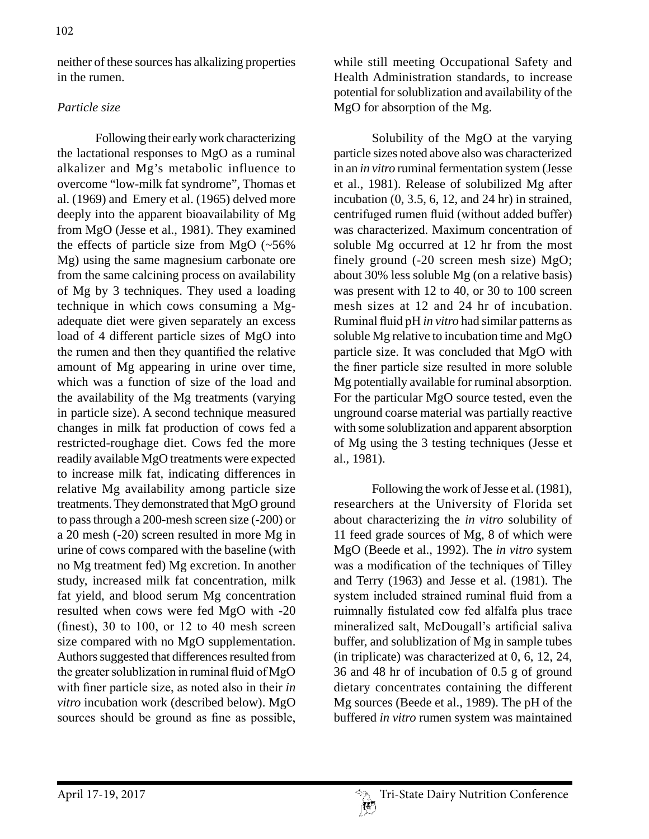neither of these sources has alkalizing properties in the rumen.

### *Particle size*

Following their early work characterizing the lactational responses to MgO as a ruminal alkalizer and Mg's metabolic influence to overcome "low-milk fat syndrome", Thomas et al. (1969) and Emery et al. (1965) delved more deeply into the apparent bioavailability of Mg from MgO (Jesse et al., 1981). They examined the effects of particle size from  $MgO$  ( $\sim$ 56%) Mg) using the same magnesium carbonate ore from the same calcining process on availability of Mg by 3 techniques. They used a loading technique in which cows consuming a Mgadequate diet were given separately an excess load of 4 different particle sizes of MgO into the rumen and then they quantified the relative amount of Mg appearing in urine over time, which was a function of size of the load and the availability of the Mg treatments (varying in particle size). A second technique measured changes in milk fat production of cows fed a restricted-roughage diet. Cows fed the more readily available MgO treatments were expected to increase milk fat, indicating differences in relative Mg availability among particle size treatments. They demonstrated that MgO ground to pass through a 200-mesh screen size (-200) or a 20 mesh (-20) screen resulted in more Mg in urine of cows compared with the baseline (with no Mg treatment fed) Mg excretion. In another study, increased milk fat concentration, milk fat yield, and blood serum Mg concentration resulted when cows were fed MgO with -20 (finest), 30 to 100, or 12 to 40 mesh screen size compared with no MgO supplementation. Authors suggested that differences resulted from the greater solublization in ruminal fluid of MgO with finer particle size, as noted also in their *in vitro* incubation work (described below). MgO sources should be ground as fine as possible,

while still meeting Occupational Safety and Health Administration standards, to increase potential for solublization and availability of the MgO for absorption of the Mg.

Solubility of the MgO at the varying particle sizes noted above also was characterized in an *in vitro* ruminal fermentation system (Jesse et al., 1981). Release of solubilized Mg after incubation  $(0, 3.5, 6, 12,$  and  $24$  hr) in strained, centrifuged rumen fluid (without added buffer) was characterized. Maximum concentration of soluble Mg occurred at 12 hr from the most finely ground (-20 screen mesh size) MgO; about 30% less soluble Mg (on a relative basis) was present with 12 to 40, or 30 to 100 screen mesh sizes at 12 and 24 hr of incubation. Ruminal fluid pH *in vitro* had similar patterns as soluble Mg relative to incubation time and MgO particle size. It was concluded that MgO with the finer particle size resulted in more soluble Mg potentially available for ruminal absorption. For the particular MgO source tested, even the unground coarse material was partially reactive with some solublization and apparent absorption of Mg using the 3 testing techniques (Jesse et al., 1981).

Following the work of Jesse et al. (1981), researchers at the University of Florida set about characterizing the *in vitro* solubility of 11 feed grade sources of Mg, 8 of which were MgO (Beede et al., 1992). The *in vitro* system was a modification of the techniques of Tilley and Terry (1963) and Jesse et al. (1981). The system included strained ruminal fluid from a ruimnally fistulated cow fed alfalfa plus trace mineralized salt, McDougall's artificial saliva buffer, and solublization of Mg in sample tubes (in triplicate) was characterized at 0, 6, 12, 24, 36 and 48 hr of incubation of 0.5 g of ground dietary concentrates containing the different Mg sources (Beede et al., 1989). The pH of the buffered *in vitro* rumen system was maintained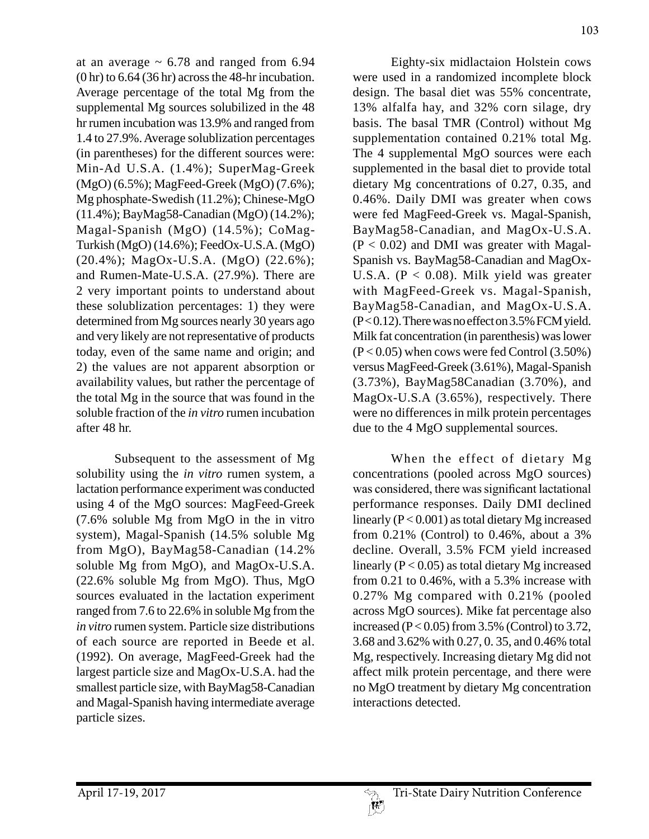at an average  $\sim 6.78$  and ranged from 6.94 (0 hr) to 6.64 (36 hr) across the 48-hr incubation. Average percentage of the total Mg from the supplemental Mg sources solubilized in the 48 hr rumen incubation was 13.9% and ranged from 1.4 to 27.9%. Average solublization percentages (in parentheses) for the different sources were: Min-Ad U.S.A. (1.4%); SuperMag-Greek (MgO) (6.5%); MagFeed-Greek (MgO) (7.6%); Mg phosphate-Swedish (11.2%); Chinese-MgO (11.4%); BayMag58-Canadian (MgO) (14.2%); Magal-Spanish (MgO) (14.5%); CoMag-Turkish (MgO) (14.6%); FeedOx-U.S.A. (MgO) (20.4%); MagOx-U.S.A. (MgO) (22.6%); and Rumen-Mate-U.S.A. (27.9%). There are 2 very important points to understand about these solublization percentages: 1) they were determined from Mg sources nearly 30 years ago and very likely are not representative of products today, even of the same name and origin; and 2) the values are not apparent absorption or availability values, but rather the percentage of the total Mg in the source that was found in the soluble fraction of the *in vitro* rumen incubation after 48 hr.

Subsequent to the assessment of Mg solubility using the *in vitro* rumen system, a lactation performance experiment was conducted using 4 of the MgO sources: MagFeed-Greek (7.6% soluble Mg from MgO in the in vitro system), Magal-Spanish (14.5% soluble Mg from MgO), BayMag58-Canadian (14.2% soluble Mg from MgO), and MagOx-U.S.A.  $(22.6\%$  soluble Mg from MgO). Thus, MgO sources evaluated in the lactation experiment ranged from 7.6 to 22.6% in soluble Mg from the *in vitro* rumen system. Particle size distributions of each source are reported in Beede et al. (1992). On average, MagFeed-Greek had the largest particle size and MagOx-U.S.A. had the smallest particle size, with BayMag58-Canadian and Magal-Spanish having intermediate average particle sizes.

Eighty-six midlactaion Holstein cows were used in a randomized incomplete block design. The basal diet was 55% concentrate, 13% alfalfa hay, and 32% corn silage, dry basis. The basal TMR (Control) without Mg supplementation contained 0.21% total Mg. The 4 supplemental MgO sources were each supplemented in the basal diet to provide total dietary Mg concentrations of 0.27, 0.35, and 0.46%. Daily DMI was greater when cows were fed MagFeed-Greek vs. Magal-Spanish, BayMag58-Canadian, and MagOx-U.S.A.  $(P < 0.02)$  and DMI was greater with Magal-Spanish vs. BayMag58-Canadian and MagOx-U.S.A. ( $P < 0.08$ ). Milk yield was greater with MagFeed-Greek vs. Magal-Spanish, BayMag58-Canadian, and MagOx-U.S.A. (P < 0.12). There was no effect on 3.5% FCM yield. Milk fat concentration (in parenthesis) was lower  $(P<0.05)$  when cows were fed Control  $(3.50\%)$ versus MagFeed-Greek (3.61%), Magal-Spanish (3.73%), BayMag58Canadian (3.70%), and MagOx-U.S.A (3.65%), respectively. There were no differences in milk protein percentages due to the 4 MgO supplemental sources.

When the effect of dietary Mg concentrations (pooled across MgO sources) was considered, there was significant lactational performance responses. Daily DMI declined linearly  $(P< 0.001)$  as total dietary Mg increased from 0.21% (Control) to 0.46%, about a 3% decline. Overall, 3.5% FCM yield increased linearly ( $P < 0.05$ ) as total dietary Mg increased from 0.21 to 0.46%, with a 5.3% increase with 0.27% Mg compared with 0.21% (pooled across MgO sources). Mike fat percentage also increased ( $P < 0.05$ ) from 3.5% (Control) to 3.72, 3.68 and 3.62% with 0.27, 0. 35, and 0.46% total Mg, respectively. Increasing dietary Mg did not affect milk protein percentage, and there were no MgO treatment by dietary Mg concentration interactions detected.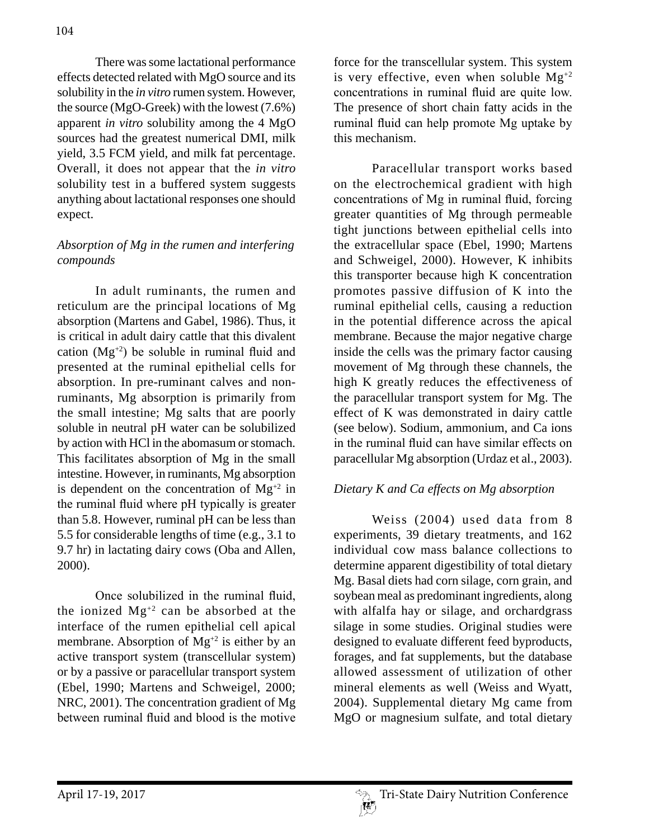There was some lactational performance effects detected related with MgO source and its solubility in the *in vitro* rumen system. However, the source (MgO-Greek) with the lowest (7.6%) apparent *in vitro* solubility among the 4 MgO sources had the greatest numerical DMI, milk yield, 3.5 FCM yield, and milk fat percentage. Overall, it does not appear that the *in vitro*  solubility test in a buffered system suggests anything about lactational responses one should expect.

## *Absorption of Mg in the rumen and interfering compounds*

In adult ruminants, the rumen and reticulum are the principal locations of Mg absorption (Martens and Gabel, 1986). Thus, it is critical in adult dairy cattle that this divalent cation  $(Mg<sup>+2</sup>)$  be soluble in ruminal fluid and presented at the ruminal epithelial cells for absorption. In pre-ruminant calves and nonruminants, Mg absorption is primarily from the small intestine; Mg salts that are poorly soluble in neutral pH water can be solubilized by action with HCl in the abomasum or stomach. This facilitates absorption of Mg in the small intestine. However, in ruminants, Mg absorption is dependent on the concentration of  $Mg^{2}$  in the ruminal fluid where pH typically is greater than 5.8. However, ruminal pH can be less than 5.5 for considerable lengths of time (e.g., 3.1 to 9.7 hr) in lactating dairy cows (Oba and Allen, 2000).

Once solubilized in the ruminal fluid, the ionized  $Mg^{+2}$  can be absorbed at the interface of the rumen epithelial cell apical membrane. Absorption of  $Mg^{+2}$  is either by an active transport system (transcellular system) or by a passive or paracellular transport system (Ebel, 1990; Martens and Schweigel, 2000; NRC, 2001). The concentration gradient of Mg between ruminal fluid and blood is the motive

force for the transcellular system. This system is very effective, even when soluble  $Mg^{2}$ concentrations in ruminal fluid are quite low. The presence of short chain fatty acids in the ruminal fluid can help promote Mg uptake by this mechanism.

Paracellular transport works based on the electrochemical gradient with high concentrations of Mg in ruminal fluid, forcing greater quantities of Mg through permeable tight junctions between epithelial cells into the extracellular space (Ebel, 1990; Martens and Schweigel, 2000). However, K inhibits this transporter because high K concentration promotes passive diffusion of K into the ruminal epithelial cells, causing a reduction in the potential difference across the apical membrane. Because the major negative charge inside the cells was the primary factor causing movement of Mg through these channels, the high K greatly reduces the effectiveness of the paracellular transport system for Mg. The effect of K was demonstrated in dairy cattle (see below). Sodium, ammonium, and Ca ions in the ruminal fluid can have similar effects on paracellular Mg absorption (Urdaz et al., 2003).

## *Dietary K and Ca effects on Mg absorption*

Weiss (2004) used data from 8 experiments, 39 dietary treatments, and 162 individual cow mass balance collections to determine apparent digestibility of total dietary Mg. Basal diets had corn silage, corn grain, and soybean meal as predominant ingredients, along with alfalfa hay or silage, and orchardgrass silage in some studies. Original studies were designed to evaluate different feed byproducts, forages, and fat supplements, but the database allowed assessment of utilization of other mineral elements as well (Weiss and Wyatt, 2004). Supplemental dietary Mg came from MgO or magnesium sulfate, and total dietary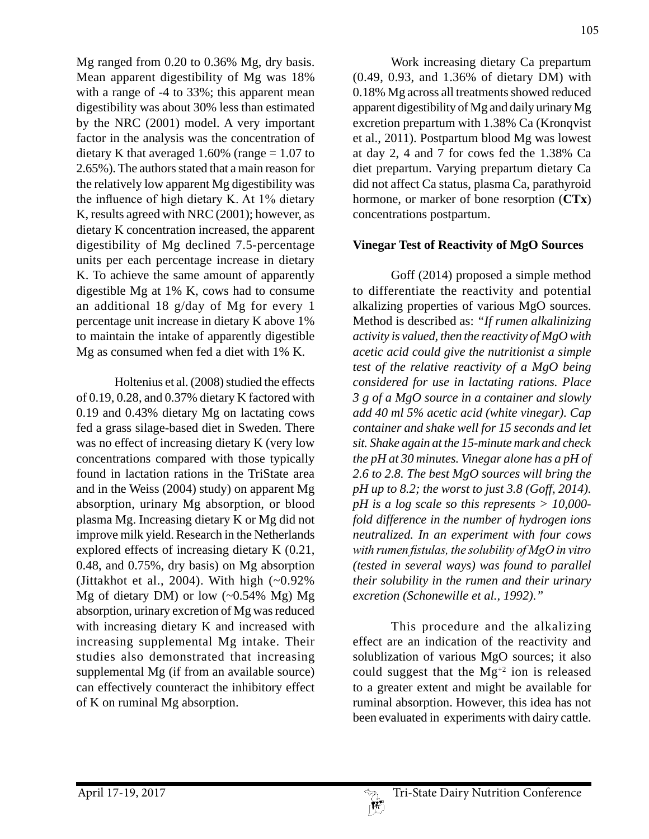Mg ranged from 0.20 to 0.36% Mg, dry basis. Mean apparent digestibility of Mg was 18% with a range of -4 to 33%; this apparent mean digestibility was about 30% less than estimated by the NRC (2001) model. A very important factor in the analysis was the concentration of dietary K that averaged 1.60% (range  $= 1.07$  to 2.65%). The authors stated that a main reason for the relatively low apparent Mg digestibility was the influence of high dietary K. At 1% dietary K, results agreed with NRC (2001); however, as dietary K concentration increased, the apparent digestibility of Mg declined 7.5-percentage units per each percentage increase in dietary K. To achieve the same amount of apparently digestible Mg at 1% K, cows had to consume an additional 18 g/day of Mg for every 1 percentage unit increase in dietary K above 1% to maintain the intake of apparently digestible Mg as consumed when fed a diet with 1% K.

Holtenius et al. (2008) studied the effects of 0.19, 0.28, and 0.37% dietary K factored with 0.19 and 0.43% dietary Mg on lactating cows fed a grass silage-based diet in Sweden. There was no effect of increasing dietary K (very low concentrations compared with those typically found in lactation rations in the TriState area and in the Weiss (2004) study) on apparent Mg absorption, urinary Mg absorption, or blood plasma Mg. Increasing dietary K or Mg did not improve milk yield. Research in the Netherlands explored effects of increasing dietary K (0.21, 0.48, and 0.75%, dry basis) on Mg absorption (Jittakhot et al., 2004). With high (~0.92% Mg of dietary DM) or low  $(-0.54\% \text{ Mg}) \text{ Mg}$ absorption, urinary excretion of Mg was reduced with increasing dietary K and increased with increasing supplemental Mg intake. Their studies also demonstrated that increasing supplemental Mg (if from an available source) can effectively counteract the inhibitory effect of K on ruminal Mg absorption.

Work increasing dietary Ca prepartum (0.49, 0.93, and 1.36% of dietary DM) with 0.18% Mg across all treatments showed reduced apparent digestibility of Mg and daily urinary Mg excretion prepartum with 1.38% Ca (Kronqvist et al., 2011). Postpartum blood Mg was lowest at day 2, 4 and 7 for cows fed the 1.38% Ca diet prepartum. Varying prepartum dietary Ca did not affect Ca status, plasma Ca, parathyroid hormone, or marker of bone resorption (**CTx**) concentrations postpartum.

105

#### **Vinegar Test of Reactivity of MgO Sources**

Goff (2014) proposed a simple method to differentiate the reactivity and potential alkalizing properties of various MgO sources. Method is described as: *"If rumen alkalinizing activity is valued, then the reactivity of MgO with acetic acid could give the nutritionist a simple test of the relative reactivity of a MgO being considered for use in lactating rations. Place 3 g of a MgO source in a container and slowly add 40 ml 5% acetic acid (white vinegar). Cap container and shake well for 15 seconds and let sit. Shake again at the 15-minute mark and check the pH at 30 minutes. Vinegar alone has a pH of 2.6 to 2.8. The best MgO sources will bring the pH up to 8.2; the worst to just 3.8 (Goff, 2014). pH is a log scale so this represents > 10,000 fold difference in the number of hydrogen ions neutralized. In an experiment with four cows with rumen fistulas, the solubility of MgO in vitro (tested in several ways) was found to parallel their solubility in the rumen and their urinary excretion (Schonewille et al., 1992)."* 

This procedure and the alkalizing effect are an indication of the reactivity and solublization of various MgO sources; it also could suggest that the Mg+2 ion is released to a greater extent and might be available for ruminal absorption. However, this idea has not been evaluated in experiments with dairy cattle.

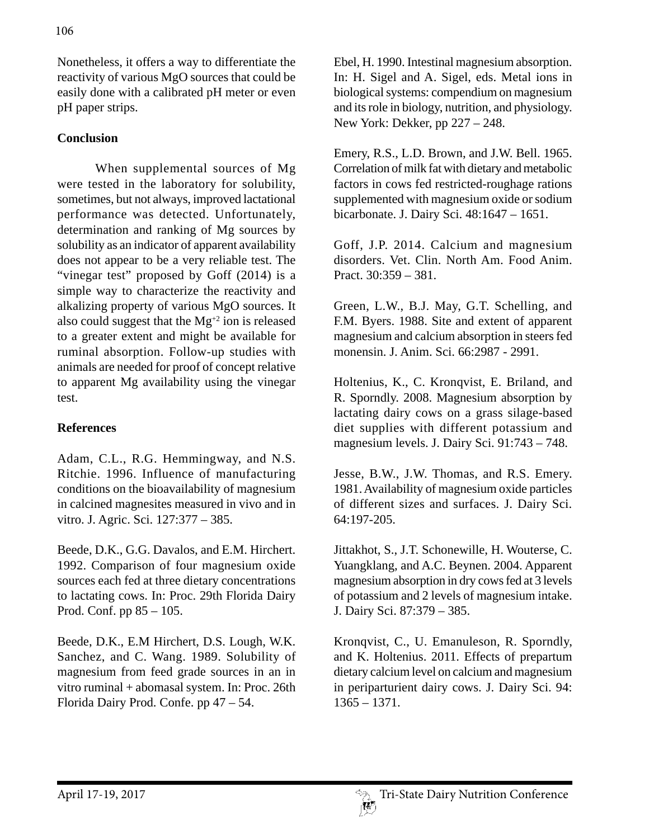Nonetheless, it offers a way to differentiate the reactivity of various MgO sources that could be easily done with a calibrated pH meter or even pH paper strips.

## **Conclusion**

When supplemental sources of Mg were tested in the laboratory for solubility, sometimes, but not always, improved lactational performance was detected. Unfortunately, determination and ranking of Mg sources by solubility as an indicator of apparent availability does not appear to be a very reliable test. The "vinegar test" proposed by Goff (2014) is a simple way to characterize the reactivity and alkalizing property of various MgO sources. It also could suggest that the  $Mg^{2}$  ion is released to a greater extent and might be available for ruminal absorption. Follow-up studies with animals are needed for proof of concept relative to apparent Mg availability using the vinegar test.

# **References**

Adam, C.L., R.G. Hemmingway, and N.S. Ritchie. 1996. Influence of manufacturing conditions on the bioavailability of magnesium in calcined magnesites measured in vivo and in vitro. J. Agric. Sci. 127:377 – 385.

Beede, D.K., G.G. Davalos, and E.M. Hirchert. 1992. Comparison of four magnesium oxide sources each fed at three dietary concentrations to lactating cows. In: Proc. 29th Florida Dairy Prod. Conf. pp 85 – 105.

Beede, D.K., E.M Hirchert, D.S. Lough, W.K. Sanchez, and C. Wang. 1989. Solubility of magnesium from feed grade sources in an in vitro ruminal + abomasal system. In: Proc. 26th Florida Dairy Prod. Confe. pp 47 – 54.

Ebel, H. 1990. Intestinal magnesium absorption. In: H. Sigel and A. Sigel, eds. Metal ions in biological systems: compendium on magnesium and its role in biology, nutrition, and physiology. New York: Dekker, pp 227 – 248.

Emery, R.S., L.D. Brown, and J.W. Bell. 1965. Correlation of milk fat with dietary and metabolic factors in cows fed restricted-roughage rations supplemented with magnesium oxide or sodium bicarbonate. J. Dairy Sci. 48:1647 – 1651.

Goff, J.P. 2014. Calcium and magnesium disorders. Vet. Clin. North Am. Food Anim. Pract. 30:359 – 381.

Green, L.W., B.J. May, G.T. Schelling, and F.M. Byers. 1988. Site and extent of apparent magnesium and calcium absorption in steers fed monensin. J. Anim. Sci. 66:2987 - 2991.

Holtenius, K., C. Kronqvist, E. Briland, and R. Sporndly. 2008. Magnesium absorption by lactating dairy cows on a grass silage-based diet supplies with different potassium and magnesium levels. J. Dairy Sci. 91:743 – 748.

Jesse, B.W., J.W. Thomas, and R.S. Emery. 1981. Availability of magnesium oxide particles of different sizes and surfaces. J. Dairy Sci. 64:197-205.

Jittakhot, S., J.T. Schonewille, H. Wouterse, C. Yuangklang, and A.C. Beynen. 2004. Apparent magnesium absorption in dry cows fed at 3 levels of potassium and 2 levels of magnesium intake. J. Dairy Sci. 87:379 – 385.

Kronqvist, C., U. Emanuleson, R. Sporndly, and K. Holtenius. 2011. Effects of prepartum dietary calcium level on calcium and magnesium in periparturient dairy cows. J. Dairy Sci. 94: 1365 – 1371.